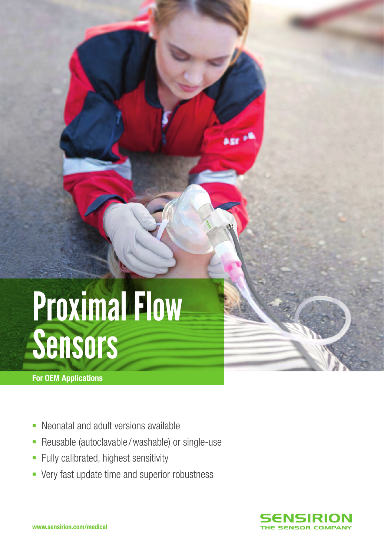# Proximal Flow Sensors

For OEM Applications

- Neonatal and adult versions available
- Reusable (autoclavable / washable) or single-use
- **Fully calibrated, highest sensitivity**
- Very fast update time and superior robustness